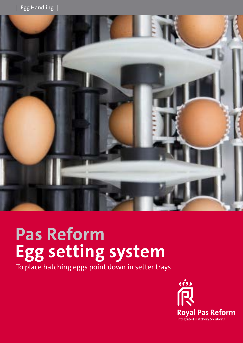

# **Pas Reform Egg setting system**

To place hatching eggs point down in setter trays